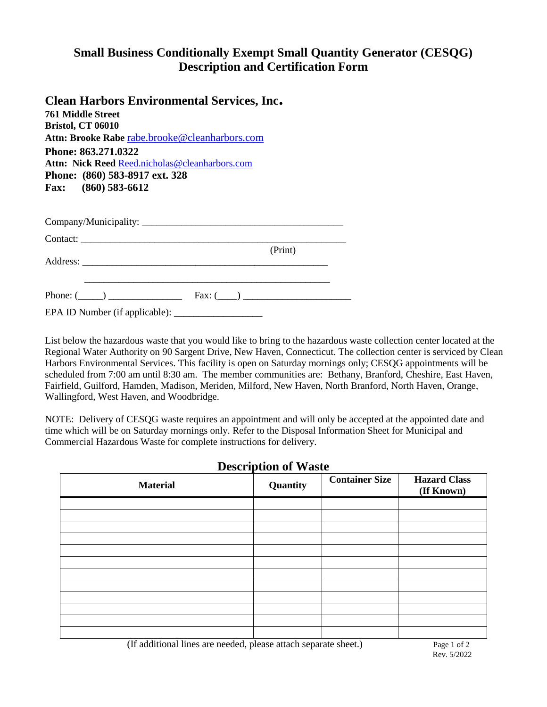## **Small Business Conditionally Exempt Small Quantity Generator (CESQG) Description and Certification Form**

#### **Clean Harbors Environmental Services, Inc.**

**761 Middle Street Bristol, CT 06010 Attn: Brooke Rabe** [rabe.brooke@cleanharbors.com](mailto:rabe.brooke@cleanharbors.com) **Phone: 863.271.0322** Attn: Nick Reed [Reed.nicholas@cleanharbors.com](mailto:Reed.nicholas@cleanharbors.com) **Phone: (860) 583-8917 ext. 328 Fax: (860) 583-6612**

|                 | (Print)                    |  |
|-----------------|----------------------------|--|
|                 |                            |  |
|                 |                            |  |
| Phone: $(\_\_)$ | $\text{Fax: } (\_\_\_\_ )$ |  |

EPA ID Number (if applicable): \_\_\_\_\_\_\_\_\_\_\_\_\_\_\_\_\_\_

List below the hazardous waste that you would like to bring to the hazardous waste collection center located at the Regional Water Authority on 90 Sargent Drive, New Haven, Connecticut. The collection center is serviced by Clean Harbors Environmental Services. This facility is open on Saturday mornings only; CESQG appointments will be scheduled from 7:00 am until 8:30 am. The member communities are: Bethany, Branford, Cheshire, East Haven, Fairfield, Guilford, Hamden, Madison, Meriden, Milford, New Haven, North Branford, North Haven, Orange, Wallingford, West Haven, and Woodbridge.

NOTE: Delivery of CESQG waste requires an appointment and will only be accepted at the appointed date and time which will be on Saturday mornings only. Refer to the Disposal Information Sheet for Municipal and Commercial Hazardous Waste for complete instructions for delivery.

| <b>Description of Waste</b> |          |                       |                                   |  |  |  |  |
|-----------------------------|----------|-----------------------|-----------------------------------|--|--|--|--|
| <b>Material</b>             | Quantity | <b>Container Size</b> | <b>Hazard Class</b><br>(If Known) |  |  |  |  |
|                             |          |                       |                                   |  |  |  |  |
|                             |          |                       |                                   |  |  |  |  |
|                             |          |                       |                                   |  |  |  |  |
|                             |          |                       |                                   |  |  |  |  |
|                             |          |                       |                                   |  |  |  |  |
|                             |          |                       |                                   |  |  |  |  |
|                             |          |                       |                                   |  |  |  |  |
|                             |          |                       |                                   |  |  |  |  |
|                             |          |                       |                                   |  |  |  |  |
|                             |          |                       |                                   |  |  |  |  |
|                             |          |                       |                                   |  |  |  |  |
|                             |          |                       |                                   |  |  |  |  |

# **Description of Waste**